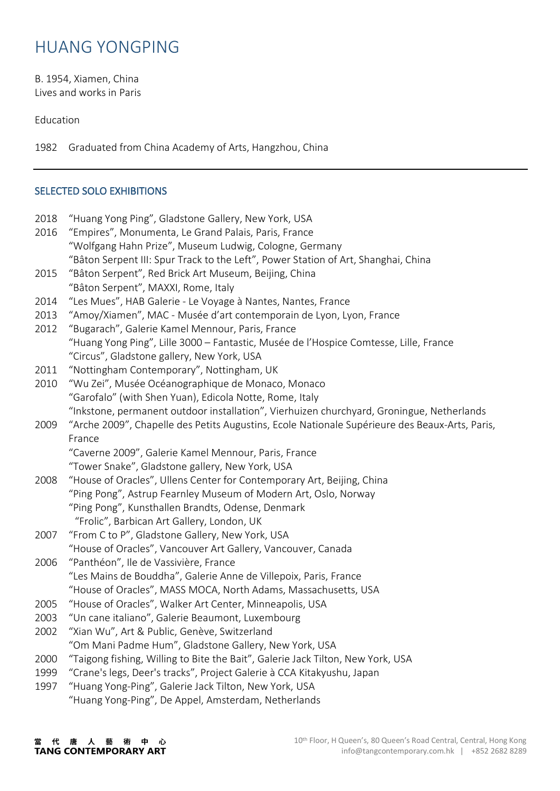## HUANG YONGPING

B. 1954, Xiamen, China Lives and works in Paris

Education

1982 Graduated from China Academy of Arts, Hangzhou, China

## SELECTED SOLO EXHIBITIONS

- 2018 "Huang Yong Ping", Gladstone Gallery, New York, USA
- 2016 "Empires", Monumenta, Le Grand Palais, Paris, France "Wolfgang Hahn Prize", Museum Ludwig, Cologne, Germany "Bâton Serpent III: Spur Track to the Left", Power Station of Art, Shanghai, China
- 2015 "Bâton Serpent", Red Brick Art Museum, Beijing, China "Bâton Serpent", MAXXI, Rome, Italy
- 2014 "Les Mues", HAB Galerie Le Voyage à Nantes, Nantes, France
- 2013 "Amoy/Xiamen", MAC Musée d'art contemporain de Lyon, Lyon, France
- 2012 "Bugarach", Galerie Kamel Mennour, Paris, France "Huang Yong Ping", Lille 3000 – Fantastic, Musée de l'Hospice Comtesse, Lille, France "Circus", Gladstone gallery, New York, USA
- 2011 "Nottingham Contemporary", Nottingham, UK
- 2010 "Wu Zei", Musée Océanographique de Monaco, Monaco "Garofalo" (with Shen Yuan), Edicola Notte, Rome, Italy "Inkstone, permanent outdoor installation", Vierhuizen churchyard, Groningue, Netherlands
- 2009 "Arche 2009", Chapelle des Petits Augustins, Ecole Nationale Supérieure des Beaux-Arts, Paris, France

"Caverne 2009", Galerie Kamel Mennour, Paris, France "Tower Snake", Gladstone gallery, New York, USA

- 2008 "House of Oracles", Ullens Center for Contemporary Art, Beijing, China "Ping Pong", Astrup Fearnley Museum of Modern Art, Oslo, Norway "Ping Pong", Kunsthallen Brandts, Odense, Denmark "Frolic", Barbican Art Gallery, London, UK
- 2007 "From C to P", Gladstone Gallery, New York, USA "House of Oracles", Vancouver Art Gallery, Vancouver, Canada
- 2006 "Panthéon", Ile de Vassivière, France "Les Mains de Bouddha", Galerie Anne de Villepoix, Paris, France "House of Oracles", MASS MOCA, North Adams, Massachusetts, USA
- 2005 "House of Oracles", Walker Art Center, Minneapolis, USA
- 2003 "Un cane italiano", Galerie Beaumont, Luxembourg
- 2002 "Xian Wu", Art & Public, Genève, Switzerland "Om Mani Padme Hum", Gladstone Gallery, New York, USA
- 2000 "Taigong fishing, Willing to Bite the Bait", Galerie Jack Tilton, New York, USA
- 1999 "Crane's legs, Deer's tracks", Project Galerie à CCA Kitakyushu, Japan
- 1997 "Huang Yong-Ping", Galerie Jack Tilton, New York, USA "Huang Yong-Ping", De Appel, Amsterdam, Netherlands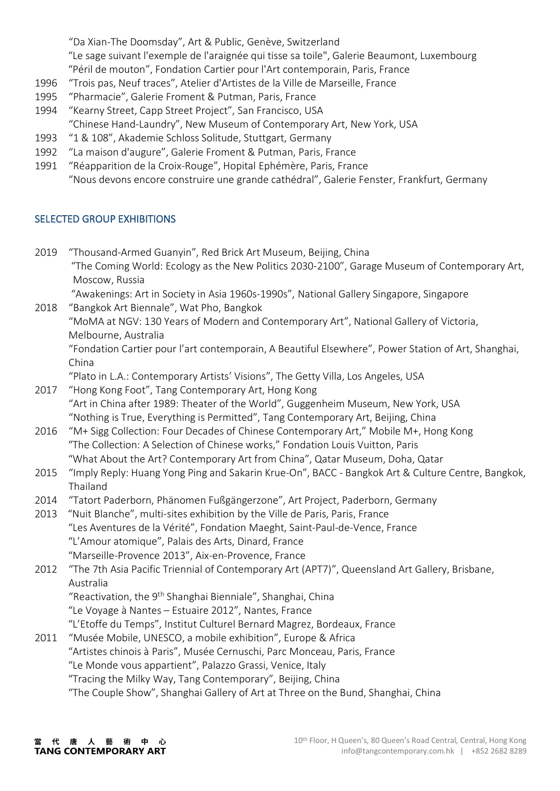"Da Xian-The Doomsday", Art & Public, Genève, Switzerland

"Le sage suivant l'exemple de l'araignée qui tisse sa toile", Galerie Beaumont, Luxembourg "Péril de mouton", Fondation Cartier pour l'Art contemporain, Paris, France

- 1996 "Trois pas, Neuf traces", Atelier d'Artistes de la Ville de Marseille, France
- 1995 "Pharmacie", Galerie Froment & Putman, Paris, France
- 1994 "Kearny Street, Capp Street Project", San Francisco, USA "Chinese Hand-Laundry", New Museum of Contemporary Art, New York, USA
- 1993 "1 & 108", Akademie Schloss Solitude, Stuttgart, Germany
- 1992 "La maison d'augure", Galerie Froment & Putman, Paris, France
- 1991 "Réapparition de la Croix-Rouge", Hopital Ephémère, Paris, France "Nous devons encore construire une grande cathédral", Galerie Fenster, Frankfurt, Germany

## SELECTED GROUP EXHIBITIONS

2019 "Thousand-Armed Guanyin", Red Brick Art Museum, Beijing, China "The Coming World: Ecology as the New Politics 2030-2100", Garage Museum of Contemporary Art, Moscow, Russia

"Awakenings: Art in Society in Asia 1960s-1990s", National Gallery Singapore, Singapore 2018 "Bangkok Art Biennale", Wat Pho, Bangkok

"MoMA at NGV: 130 Years of Modern and Contemporary Art", National Gallery of Victoria, Melbourne, Australia

"Fondation Cartier pour l'art contemporain, A Beautiful Elsewhere", Power Station of Art, Shanghai, China

"Plato in L.A.: Contemporary Artists' Visions", The Getty Villa, Los Angeles, USA

- 2017 "Hong Kong Foot", Tang Contemporary Art, Hong Kong "Art in China after 1989: Theater of the World", Guggenheim Museum, New York, USA "Nothing is True, Everything is Permitted", Tang Contemporary Art, Beijing, China
- 2016 "M+ Sigg Collection: Four Decades of Chinese Contemporary Art," Mobile M+, Hong Kong "The Collection: A Selection of Chinese works," Fondation Louis Vuitton, Paris "What About the Art? Contemporary Art from China", Qatar Museum, Doha, Qatar
- 2015 "Imply Reply: Huang Yong Ping and Sakarin Krue-On", BACC Bangkok Art & Culture Centre, Bangkok, Thailand
- 2014 "Tatort Paderborn, Phänomen Fußgängerzone", Art Project, Paderborn, Germany
- 2013 "Nuit Blanche", multi-sites exhibition by the Ville de Paris, Paris, France "Les Aventures de la Vérité", Fondation Maeght, Saint-Paul-de-Vence, France "L'Amour atomique", Palais des Arts, Dinard, France "Marseille-Provence 2013", Aix-en-Provence, France

2012 "The 7th Asia Pacific Triennial of Contemporary Art (APT7)", Queensland Art Gallery, Brisbane, Australia

"Reactivation, the 9th Shanghai Bienniale", Shanghai, China

"Le Voyage à Nantes – Estuaire 2012", Nantes, France

"L'Etoffe du Temps", Institut Culturel Bernard Magrez, Bordeaux, France

2011 "Musée Mobile, UNESCO, a mobile exhibition", Europe & Africa

"Artistes chinois à Paris", Musée Cernuschi, Parc Monceau, Paris, France

"Le Monde vous appartient", Palazzo Grassi, Venice, Italy

"Tracing the Milky Way, Tang Contemporary", Beijing, China

"The Couple Show", Shanghai Gallery of Art at Three on the Bund, Shanghai, China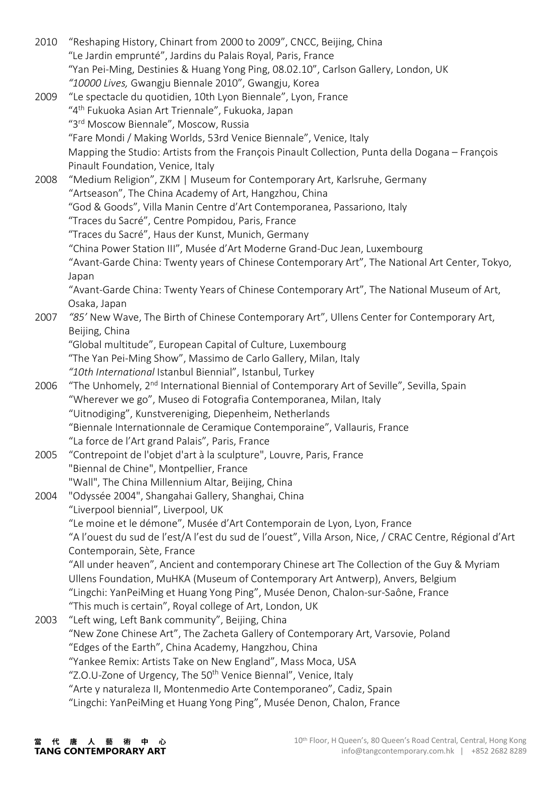| 2010         | "Reshaping History, Chinart from 2000 to 2009", CNCC, Beijing, China<br>"Le Jardin emprunté", Jardins du Palais Royal, Paris, France       |
|--------------|--------------------------------------------------------------------------------------------------------------------------------------------|
|              | "Yan Pei-Ming, Destinies & Huang Yong Ping, 08.02.10", Carlson Gallery, London, UK<br>"10000 Lives, Gwangju Biennale 2010", Gwangju, Korea |
| 2009         | "Le spectacle du quotidien, 10th Lyon Biennale", Lyon, France                                                                              |
|              | "4 <sup>th</sup> Fukuoka Asian Art Triennale", Fukuoka, Japan                                                                              |
|              | "3rd Moscow Biennale", Moscow, Russia                                                                                                      |
|              | "Fare Mondi / Making Worlds, 53rd Venice Biennale", Venice, Italy                                                                          |
|              | Mapping the Studio: Artists from the François Pinault Collection, Punta della Dogana - François<br>Pinault Foundation, Venice, Italy       |
| 2008         | "Medium Religion", ZKM   Museum for Contemporary Art, Karlsruhe, Germany                                                                   |
|              | "Artseason", The China Academy of Art, Hangzhou, China                                                                                     |
|              | "God & Goods", Villa Manin Centre d'Art Contemporanea, Passariono, Italy                                                                   |
|              | "Traces du Sacré", Centre Pompidou, Paris, France                                                                                          |
|              | "Traces du Sacré", Haus der Kunst, Munich, Germany                                                                                         |
|              | "China Power Station III", Musée d'Art Moderne Grand-Duc Jean, Luxembourg                                                                  |
|              |                                                                                                                                            |
|              | "Avant-Garde China: Twenty years of Chinese Contemporary Art", The National Art Center, Tokyo,                                             |
|              | Japan                                                                                                                                      |
|              | "Avant-Garde China: Twenty Years of Chinese Contemporary Art", The National Museum of Art,                                                 |
|              | Osaka, Japan<br>"85' New Wave, The Birth of Chinese Contemporary Art", Ullens Center for Contemporary Art,                                 |
| 2007<br>2006 |                                                                                                                                            |
|              | Beijing, China                                                                                                                             |
|              | "Global multitude", European Capital of Culture, Luxembourg                                                                                |
|              | "The Yan Pei-Ming Show", Massimo de Carlo Gallery, Milan, Italy                                                                            |
|              | "10th International Istanbul Biennial", Istanbul, Turkey                                                                                   |
|              | "The Unhomely, 2 <sup>nd</sup> International Biennial of Contemporary Art of Seville", Sevilla, Spain                                      |
|              | "Wherever we go", Museo di Fotografia Contemporanea, Milan, Italy                                                                          |
|              | "Uitnodiging", Kunstvereniging, Diepenheim, Netherlands                                                                                    |
|              | "Biennale Internationnale de Ceramique Contemporaine", Vallauris, France                                                                   |
|              | "La force de l'Art grand Palais", Paris, France                                                                                            |
| 2005         | "Contrepoint de l'objet d'art à la sculpture", Louvre, Paris, France                                                                       |
| 2004         | "Biennal de Chine", Montpellier, France                                                                                                    |
|              | "Wall", The China Millennium Altar, Beijing, China                                                                                         |
|              | "Odyssée 2004", Shangahai Gallery, Shanghai, China                                                                                         |
|              | "Liverpool biennial", Liverpool, UK                                                                                                        |
|              | "Le moine et le démone", Musée d'Art Contemporain de Lyon, Lyon, France                                                                    |
|              | "A l'ouest du sud de l'est/A l'est du sud de l'ouest", Villa Arson, Nice, / CRAC Centre, Régional d'Art                                    |
|              | Contemporain, Sète, France                                                                                                                 |
|              | "All under heaven", Ancient and contemporary Chinese art The Collection of the Guy & Myriam                                                |
|              | Ullens Foundation, MuHKA (Museum of Contemporary Art Antwerp), Anvers, Belgium                                                             |
|              | "Lingchi: YanPeiMing et Huang Yong Ping", Musée Denon, Chalon-sur-Saône, France                                                            |
|              | "This much is certain", Royal college of Art, London, UK                                                                                   |
| 2003         | "Left wing, Left Bank community", Beijing, China                                                                                           |
|              | "New Zone Chinese Art", The Zacheta Gallery of Contemporary Art, Varsovie, Poland                                                          |
|              | "Edges of the Earth", China Academy, Hangzhou, China                                                                                       |
|              | "Yankee Remix: Artists Take on New England", Mass Moca, USA                                                                                |
|              | "Z.O.U-Zone of Urgency, The 50 <sup>th</sup> Venice Biennal", Venice, Italy                                                                |
|              | "Arte y naturaleza II, Montenmedio Arte Contemporaneo", Cadiz, Spain                                                                       |
|              | "Lingchi: YanPeiMing et Huang Yong Ping", Musée Denon, Chalon, France                                                                      |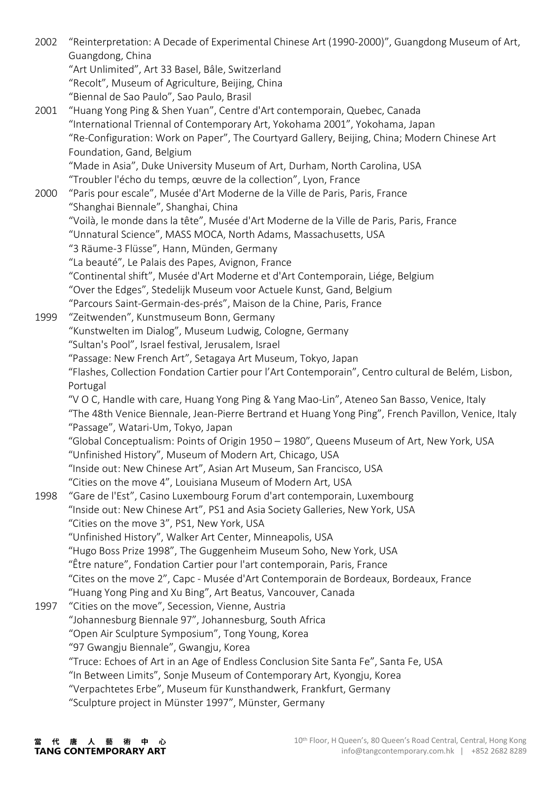2002 "Reinterpretation: A Decade of Experimental Chinese Art (1990-2000)", Guangdong Museum of Art, Guangdong, China "Art Unlimited", Art 33 Basel, Bâle, Switzerland "Recolt", Museum of Agriculture, Beijing, China "Biennal de Sao Paulo", Sao Paulo, Brasil 2001 "Huang Yong Ping & Shen Yuan", Centre d'Art contemporain, Quebec, Canada "International Triennal of Contemporary Art, Yokohama 2001", Yokohama, Japan "Re-Configuration: Work on Paper", The Courtyard Gallery, Beijing, China; Modern Chinese Art Foundation, Gand, Belgium "Made in Asia", Duke University Museum of Art, Durham, North Carolina, USA "Troubler l'écho du temps, œuvre de la collection", Lyon, France 2000 "Paris pour escale", Musée d'Art Moderne de la Ville de Paris, Paris, France "Shanghai Biennale", Shanghai, China "Voilà, le monde dans la tête", Musée d'Art Moderne de la Ville de Paris, Paris, France "Unnatural Science", MASS MOCA, North Adams, Massachusetts, USA "3 Räume-3 Flüsse", Hann, Münden, Germany "La beauté", Le Palais des Papes, Avignon, France "Continental shift", Musée d'Art Moderne et d'Art Contemporain, Liége, Belgium "Over the Edges", Stedelijk Museum voor Actuele Kunst, Gand, Belgium "Parcours Saint-Germain-des-prés", Maison de la Chine, Paris, France 1999 "Zeitwenden", Kunstmuseum Bonn, Germany "Kunstwelten im Dialog", Museum Ludwig, Cologne, Germany "Sultan's Pool", Israel festival, Jerusalem, Israel "Passage: New French Art", Setagaya Art Museum, Tokyo, Japan "Flashes, Collection Fondation Cartier pour l'Art Contemporain", Centro cultural de Belém, Lisbon, Portugal "V O C, Handle with care, Huang Yong Ping & Yang Mao-Lin", Ateneo San Basso, Venice, Italy "The 48th Venice Biennale, Jean-Pierre Bertrand et Huang Yong Ping", French Pavillon, Venice, Italy "Passage", Watari-Um, Tokyo, Japan "Global Conceptualism: Points of Origin 1950 – 1980", Queens Museum of Art, New York, USA "Unfinished History", Museum of Modern Art, Chicago, USA "Inside out: New Chinese Art", Asian Art Museum, San Francisco, USA "Cities on the move 4", Louisiana Museum of Modern Art, USA 1998 "Gare de l'Est", Casino Luxembourg Forum d'art contemporain, Luxembourg "Inside out: New Chinese Art", PS1 and Asia Society Galleries, New York, USA "Cities on the move 3", PS1, New York, USA "Unfinished History", Walker Art Center, Minneapolis, USA "Hugo Boss Prize 1998", The Guggenheim Museum Soho, New York, USA "Être nature", Fondation Cartier pour l'art contemporain, Paris, France "Cites on the move 2", Capc - Musée d'Art Contemporain de Bordeaux, Bordeaux, France "Huang Yong Ping and Xu Bing", Art Beatus, Vancouver, Canada 1997 "Cities on the move", Secession, Vienne, Austria "Johannesburg Biennale 97", Johannesburg, South Africa "Open Air Sculpture Symposium", Tong Young, Korea "97 Gwangju Biennale", Gwangju, Korea "Truce: Echoes of Art in an Age of Endless Conclusion Site Santa Fe", Santa Fe, USA "In Between Limits", Sonje Museum of Contemporary Art, Kyongju, Korea "Verpachtetes Erbe", Museum für Kunsthandwerk, Frankfurt, Germany "Sculpture project in Münster 1997", Münster, Germany